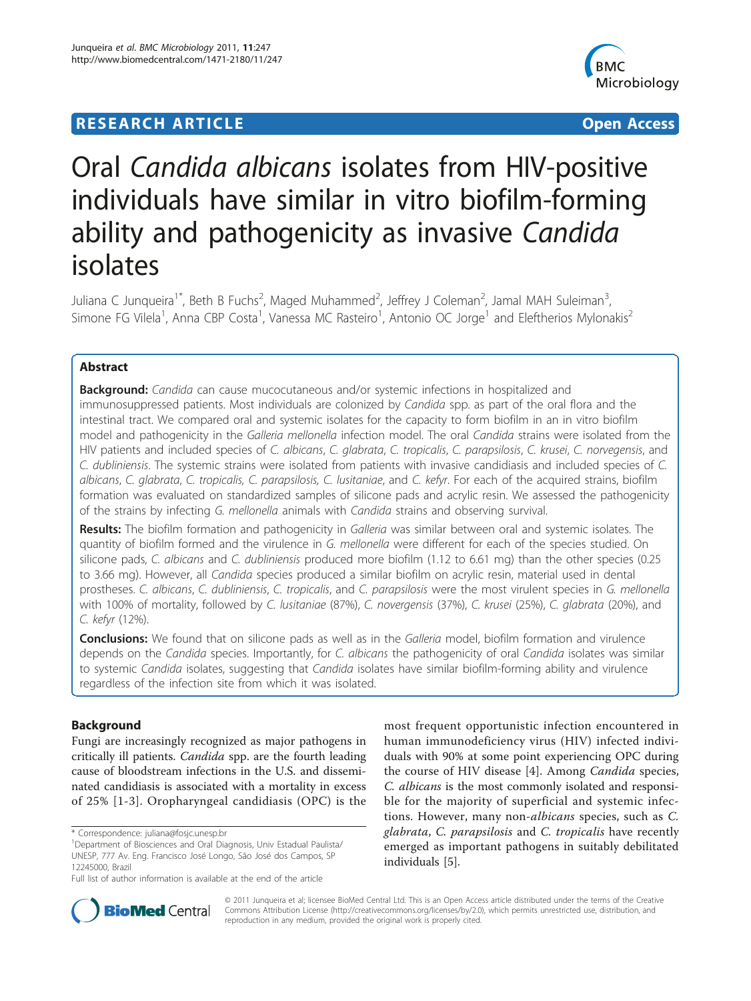## **RESEARCH ARTICLE External Structure Control Control Control Control Control Control Control Control Control Control Control Control Control Control Control Control Control Control Control Control Control Control Control**



# Oral Candida albicans isolates from HIV-positive individuals have similar in vitro biofilm-forming ability and pathogenicity as invasive Candida isolates

Juliana C Junqueira<sup>1\*</sup>, Beth B Fuchs<sup>2</sup>, Maged Muhammed<sup>2</sup>, Jeffrey J Coleman<sup>2</sup>, Jamal MAH Suleiman<sup>3</sup> , Simone FG Vilela<sup>1</sup>, Anna CBP Costa<sup>1</sup>, Vanessa MC Rasteiro<sup>1</sup>, Antonio OC Jorge<sup>1</sup> and Eleftherios Mylonakis<sup>2</sup>

## Abstract

Background: Candida can cause mucocutaneous and/or systemic infections in hospitalized and immunosuppressed patients. Most individuals are colonized by Candida spp. as part of the oral flora and the intestinal tract. We compared oral and systemic isolates for the capacity to form biofilm in an in vitro biofilm model and pathogenicity in the Galleria mellonella infection model. The oral Candida strains were isolated from the HIV patients and included species of C. albicans, C. glabrata, C. tropicalis, C. parapsilosis, C. krusei, C. norvegensis, and C. dubliniensis. The systemic strains were isolated from patients with invasive candidiasis and included species of C. albicans, C. glabrata, C. tropicalis, C. parapsilosis, C. lusitaniae, and C. kefyr. For each of the acquired strains, biofilm formation was evaluated on standardized samples of silicone pads and acrylic resin. We assessed the pathogenicity of the strains by infecting G. mellonella animals with Candida strains and observing survival.

Results: The biofilm formation and pathogenicity in Galleria was similar between oral and systemic isolates. The quantity of biofilm formed and the virulence in G. mellonella were different for each of the species studied. On silicone pads, C. albicans and C. dubliniensis produced more biofilm (1.12 to 6.61 mg) than the other species (0.25 to 3.66 mg). However, all Candida species produced a similar biofilm on acrylic resin, material used in dental prostheses. C. albicans, C. dubliniensis, C. tropicalis, and C. parapsilosis were the most virulent species in G. mellonella with 100% of mortality, followed by C. lusitaniae (87%), C. novergensis (37%), C. krusei (25%), C. glabrata (20%), and C. kefyr (12%).

Conclusions: We found that on silicone pads as well as in the Galleria model, biofilm formation and virulence depends on the Candida species. Importantly, for C. albicans the pathogenicity of oral Candida isolates was similar to systemic Candida isolates, suggesting that Candida isolates have similar biofilm-forming ability and virulence regardless of the infection site from which it was isolated.

## Background

Fungi are increasingly recognized as major pathogens in critically ill patients. Candida spp. are the fourth leading cause of bloodstream infections in the U.S. and disseminated candidiasis is associated with a mortality in excess of 25% [[1](#page-7-0)-[3](#page-7-0)]. Oropharyngeal candidiasis (OPC) is the

\* Correspondence: [juliana@fosjc.unesp.br](mailto:juliana@fosjc.unesp.br)

most frequent opportunistic infection encountered in human immunodeficiency virus (HIV) infected individuals with 90% at some point experiencing OPC during the course of HIV disease [[4\]](#page-7-0). Among Candida species, C. albicans is the most commonly isolated and responsible for the majority of superficial and systemic infections. However, many non-albicans species, such as C. glabrata, C. parapsilosis and C. tropicalis have recently emerged as important pathogens in suitably debilitated individuals [[5\]](#page-7-0).



© 2011 Junqueira et al; licensee BioMed Central Ltd. This is an Open Access article distributed under the terms of the Creative Commons Attribution License [\(http://creativecommons.org/licenses/by/2.0](http://creativecommons.org/licenses/by/2.0)), which permits unrestricted use, distribution, and reproduction in any medium, provided the original work is properly cited.

<sup>&</sup>lt;sup>1</sup>Department of Biosciences and Oral Diagnosis, Univ Estadual Paulista/ UNESP, 777 Av. Eng. Francisco José Longo, São José dos Campos, SP 12245000, Brazil

Full list of author information is available at the end of the article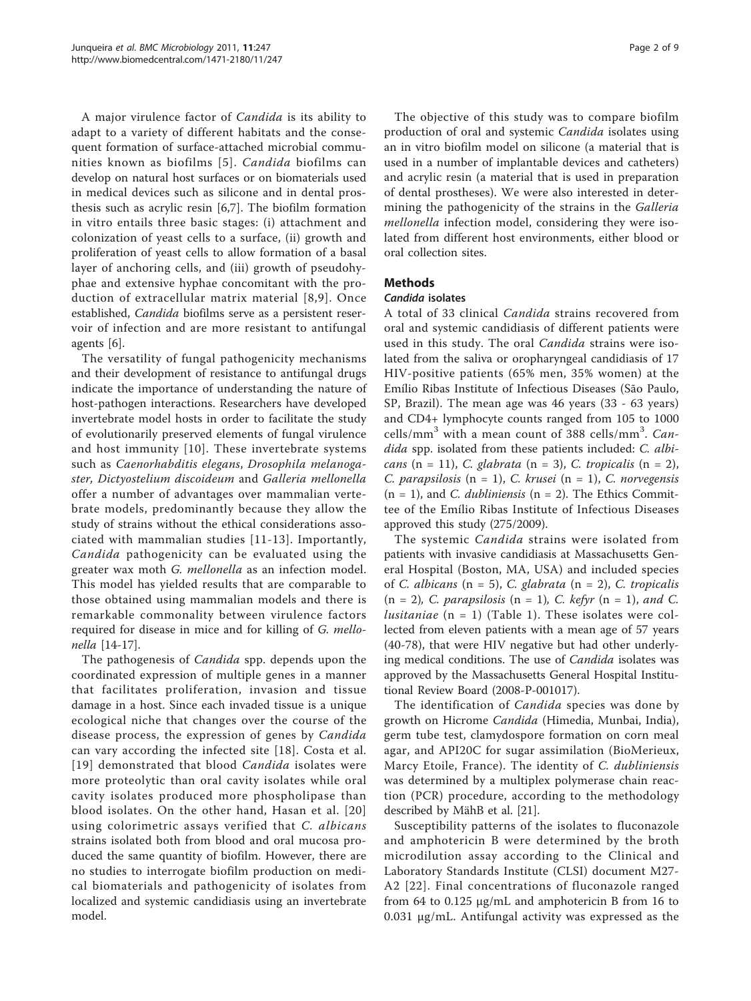A major virulence factor of Candida is its ability to adapt to a variety of different habitats and the consequent formation of surface-attached microbial communities known as biofilms [[5\]](#page-7-0). Candida biofilms can develop on natural host surfaces or on biomaterials used in medical devices such as silicone and in dental prosthesis such as acrylic resin [\[6](#page-7-0),[7\]](#page-7-0). The biofilm formation in vitro entails three basic stages: (i) attachment and colonization of yeast cells to a surface, (ii) growth and proliferation of yeast cells to allow formation of a basal layer of anchoring cells, and (iii) growth of pseudohyphae and extensive hyphae concomitant with the production of extracellular matrix material [[8,9](#page-7-0)]. Once established, Candida biofilms serve as a persistent reservoir of infection and are more resistant to antifungal agents [[6\]](#page-7-0).

The versatility of fungal pathogenicity mechanisms and their development of resistance to antifungal drugs indicate the importance of understanding the nature of host-pathogen interactions. Researchers have developed invertebrate model hosts in order to facilitate the study of evolutionarily preserved elements of fungal virulence and host immunity [[10\]](#page-7-0). These invertebrate systems such as Caenorhabditis elegans, Drosophila melanogaster, Dictyostelium discoideum and Galleria mellonella offer a number of advantages over mammalian vertebrate models, predominantly because they allow the study of strains without the ethical considerations associated with mammalian studies [[11](#page-7-0)-[13\]](#page-7-0). Importantly, Candida pathogenicity can be evaluated using the greater wax moth G. mellonella as an infection model. This model has yielded results that are comparable to those obtained using mammalian models and there is remarkable commonality between virulence factors required for disease in mice and for killing of G. mellonella [\[14-17](#page-8-0)].

The pathogenesis of *Candida* spp. depends upon the coordinated expression of multiple genes in a manner that facilitates proliferation, invasion and tissue damage in a host. Since each invaded tissue is a unique ecological niche that changes over the course of the disease process, the expression of genes by Candida can vary according the infected site [[18](#page-8-0)]. Costa et al. [[19\]](#page-8-0) demonstrated that blood Candida isolates were more proteolytic than oral cavity isolates while oral cavity isolates produced more phospholipase than blood isolates. On the other hand, Hasan et al. [[20](#page-8-0)] using colorimetric assays verified that *C. albicans* strains isolated both from blood and oral mucosa produced the same quantity of biofilm. However, there are no studies to interrogate biofilm production on medical biomaterials and pathogenicity of isolates from localized and systemic candidiasis using an invertebrate model.

The objective of this study was to compare biofilm production of oral and systemic Candida isolates using an in vitro biofilm model on silicone (a material that is used in a number of implantable devices and catheters) and acrylic resin (a material that is used in preparation of dental prostheses). We were also interested in determining the pathogenicity of the strains in the Galleria mellonella infection model, considering they were isolated from different host environments, either blood or oral collection sites.

## Methods

#### Candida isolates

A total of 33 clinical Candida strains recovered from oral and systemic candidiasis of different patients were used in this study. The oral Candida strains were isolated from the saliva or oropharyngeal candidiasis of 17 HIV-positive patients (65% men, 35% women) at the Emílio Ribas Institute of Infectious Diseases (São Paulo, SP, Brazil). The mean age was 46 years (33 - 63 years) and CD4+ lymphocyte counts ranged from 105 to 1000 cells/mm<sup>3</sup> with a mean count of 388 cells/mm<sup>3</sup>. Candida spp. isolated from these patients included: C. albicans  $(n = 11)$ , C. glabrata  $(n = 3)$ , C. tropicalis  $(n = 2)$ , C. parapsilosis  $(n = 1)$ , C. krusei  $(n = 1)$ , C. norvegensis  $(n = 1)$ , and *C. dubliniensis*  $(n = 2)$ . The Ethics Committee of the Emílio Ribas Institute of Infectious Diseases approved this study (275/2009).

The systemic Candida strains were isolated from patients with invasive candidiasis at Massachusetts General Hospital (Boston, MA, USA) and included species of C. albicans  $(n = 5)$ , C. glabrata  $(n = 2)$ , C. tropicalis  $(n = 2)$ , C. parapsilosis  $(n = 1)$ , C. kefyr  $(n = 1)$ , and C. lusitaniae  $(n = 1)$  $(n = 1)$  $(n = 1)$  (Table 1). These isolates were collected from eleven patients with a mean age of 57 years (40-78), that were HIV negative but had other underlying medical conditions. The use of Candida isolates was approved by the Massachusetts General Hospital Institutional Review Board (2008-P-001017).

The identification of *Candida* species was done by growth on Hicrome Candida (Himedia, Munbai, India), germ tube test, clamydospore formation on corn meal agar, and API20C for sugar assimilation (BioMerieux, Marcy Etoile, France). The identity of C. dubliniensis was determined by a multiplex polymerase chain reaction (PCR) procedure, according to the methodology described by MähB et al. [\[21](#page-8-0)].

Susceptibility patterns of the isolates to fluconazole and amphotericin B were determined by the broth microdilution assay according to the Clinical and Laboratory Standards Institute (CLSI) document M27- A2 [[22](#page-8-0)]. Final concentrations of fluconazole ranged from 64 to 0.125 μg/mL and amphotericin B from 16 to 0.031 μg/mL. Antifungal activity was expressed as the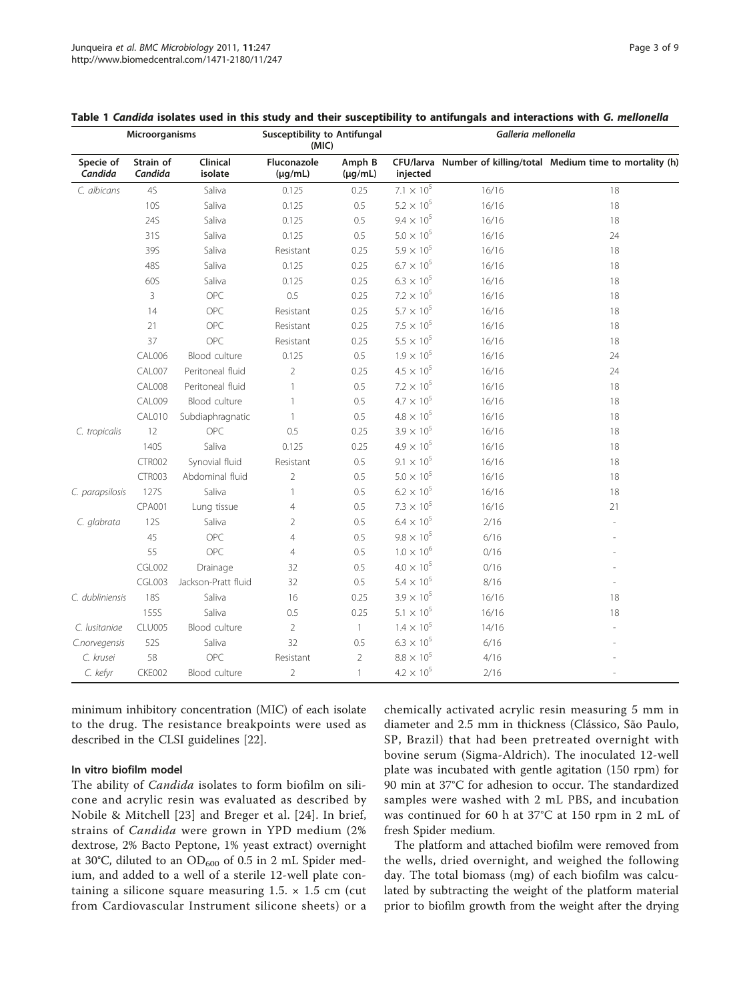| Microorganisms       |                      |                     | Susceptibility to Antifungal<br>(MIC) |                        | Galleria mellonella |       |                                                                |
|----------------------|----------------------|---------------------|---------------------------------------|------------------------|---------------------|-------|----------------------------------------------------------------|
| Specie of<br>Candida | Strain of<br>Candida | Clinical<br>isolate | Fluconazole<br>$(\mu g/mL)$           | Amph B<br>$(\mu g/mL)$ | injected            |       | CFU/larva Number of killing/total Medium time to mortality (h) |
| C. albicans          | 4S                   | Saliva              | 0.125                                 | 0.25                   | $7.1 \times 10^{5}$ | 16/16 | 18                                                             |
|                      | <b>10S</b>           | Saliva              | 0.125                                 | 0.5                    | $5.2 \times 10^{5}$ | 16/16 | 18                                                             |
|                      | 24S                  | Saliva              | 0.125                                 | 0.5                    | $9.4 \times 10^{5}$ | 16/16 | 18                                                             |
|                      | 31S                  | Saliva              | 0.125                                 | 0.5                    | $5.0 \times 10^{5}$ | 16/16 | 24                                                             |
|                      | 39S                  | Saliva              | Resistant                             | 0.25                   | $5.9 \times 10^{5}$ | 16/16 | 18                                                             |
|                      | 48S                  | Saliva              | 0.125                                 | 0.25                   | $6.7 \times 10^{5}$ | 16/16 | 18                                                             |
|                      | 60S                  | Saliva              | 0.125                                 | 0.25                   | $6.3 \times 10^{5}$ | 16/16 | 18                                                             |
|                      | 3                    | OPC                 | 0.5                                   | 0.25                   | $7.2 \times 10^{5}$ | 16/16 | 18                                                             |
|                      | 14                   | OPC                 | Resistant                             | 0.25                   | $5.7 \times 10^{5}$ | 16/16 | 18                                                             |
|                      | 21                   | OPC                 | Resistant                             | 0.25                   | $7.5 \times 10^{5}$ | 16/16 | 18                                                             |
|                      | 37                   | OPC                 | Resistant                             | 0.25                   | $5.5 \times 10^{5}$ | 16/16 | $18\,$                                                         |
|                      | CAL006               | Blood culture       | 0.125                                 | 0.5                    | $1.9 \times 10^{5}$ | 16/16 | 24                                                             |
|                      | CAL007               | Peritoneal fluid    | $\overline{2}$                        | 0.25                   | $4.5 \times 10^{5}$ | 16/16 | 24                                                             |
|                      | CAL008               | Peritoneal fluid    | $\mathbf{1}$                          | 0.5                    | $7.2 \times 10^{5}$ | 16/16 | 18                                                             |
|                      | <b>CAL009</b>        | Blood culture       | $\mathbf{1}$                          | 0.5                    | $4.7 \times 10^{5}$ | 16/16 | 18                                                             |
|                      | CAL010               | Subdiaphragnatic    | $\mathbf{1}$                          | 0.5                    | $4.8 \times 10^{5}$ | 16/16 | 18                                                             |
| C. tropicalis        | 12                   | OPC                 | 0.5                                   | 0.25                   | $3.9 \times 10^{5}$ | 16/16 | 18                                                             |
|                      | 140S                 | Saliva              | 0.125                                 | 0.25                   | $4.9 \times 10^{5}$ | 16/16 | 18                                                             |
|                      | CTR002               | Synovial fluid      | Resistant                             | 0.5                    | $9.1 \times 10^{5}$ | 16/16 | 18                                                             |
|                      | CTR003               | Abdominal fluid     | $\overline{2}$                        | 0.5                    | $5.0 \times 10^{5}$ | 16/16 | 18                                                             |
| C. parapsilosis      | <b>127S</b>          | Saliva              | $\mathbf{1}$                          | 0.5                    | $6.2 \times 10^{5}$ | 16/16 | 18                                                             |
|                      | <b>CPA001</b>        | Lung tissue         | $\overline{4}$                        | 0.5                    | $7.3 \times 10^{5}$ | 16/16 | 21                                                             |
| C. glabrata          | <b>12S</b>           | Saliva              | $\overline{2}$                        | 0.5                    | $6.4 \times 10^{5}$ | 2/16  |                                                                |
|                      | 45                   | OPC                 | $\overline{4}$                        | 0.5                    | $9.8 \times 10^{5}$ | 6/16  |                                                                |
|                      | 55                   | OPC                 | $\overline{4}$                        | 0.5                    | $1.0 \times 10^{6}$ | 0/16  |                                                                |
|                      | CGL002               | Drainage            | 32                                    | 0.5                    | $4.0 \times 10^{5}$ | 0/16  |                                                                |
|                      | CGL003               | Jackson-Pratt fluid | 32                                    | 0.5                    | $5.4 \times 10^{5}$ | 8/16  |                                                                |
| C. dubliniensis      | <b>18S</b>           | Saliva              | 16                                    | 0.25                   | $3.9 \times 10^{5}$ | 16/16 | 18                                                             |
|                      | 155S                 | Saliva              | 0.5                                   | 0.25                   | $5.1\times10^5$     | 16/16 | 18                                                             |
| C. lusitaniae        | <b>CLU005</b>        | Blood culture       | $\overline{2}$                        | $\mathbf{1}$           | $1.4 \times 10^{5}$ | 14/16 |                                                                |
| C.norvegensis        | 52S                  | Saliva              | 32                                    | 0.5                    | $6.3 \times 10^{5}$ | 6/16  |                                                                |
| C. krusei            | 58                   | OPC                 | Resistant                             | $\overline{2}$         | $8.8 \times 10^{5}$ | 4/16  |                                                                |
| C. kefyr             | <b>CKE002</b>        | Blood culture       | $\overline{2}$                        | $\mathbf{1}$           | $4.2 \times 10^{5}$ | 2/16  |                                                                |

#### <span id="page-2-0"></span>Table 1 Candida isolates used in this study and their susceptibility to antifungals and interactions with G. mellonella

minimum inhibitory concentration (MIC) of each isolate to the drug. The resistance breakpoints were used as described in the CLSI guidelines [\[22](#page-8-0)].

### In vitro biofilm model

The ability of *Candida* isolates to form biofilm on silicone and acrylic resin was evaluated as described by Nobile & Mitchell [[23\]](#page-8-0) and Breger et al. [[24](#page-8-0)]. In brief, strains of Candida were grown in YPD medium (2% dextrose, 2% Bacto Peptone, 1% yeast extract) overnight at 30°C, diluted to an  $OD_{600}$  of 0.5 in 2 mL Spider medium, and added to a well of a sterile 12-well plate containing a silicone square measuring  $1.5 \times 1.5$  cm (cut from Cardiovascular Instrument silicone sheets) or a chemically activated acrylic resin measuring 5 mm in diameter and 2.5 mm in thickness (Clássico, São Paulo, SP, Brazil) that had been pretreated overnight with bovine serum (Sigma-Aldrich). The inoculated 12-well plate was incubated with gentle agitation (150 rpm) for 90 min at 37°C for adhesion to occur. The standardized samples were washed with 2 mL PBS, and incubation was continued for 60 h at 37°C at 150 rpm in 2 mL of fresh Spider medium.

The platform and attached biofilm were removed from the wells, dried overnight, and weighed the following day. The total biomass (mg) of each biofilm was calculated by subtracting the weight of the platform material prior to biofilm growth from the weight after the drying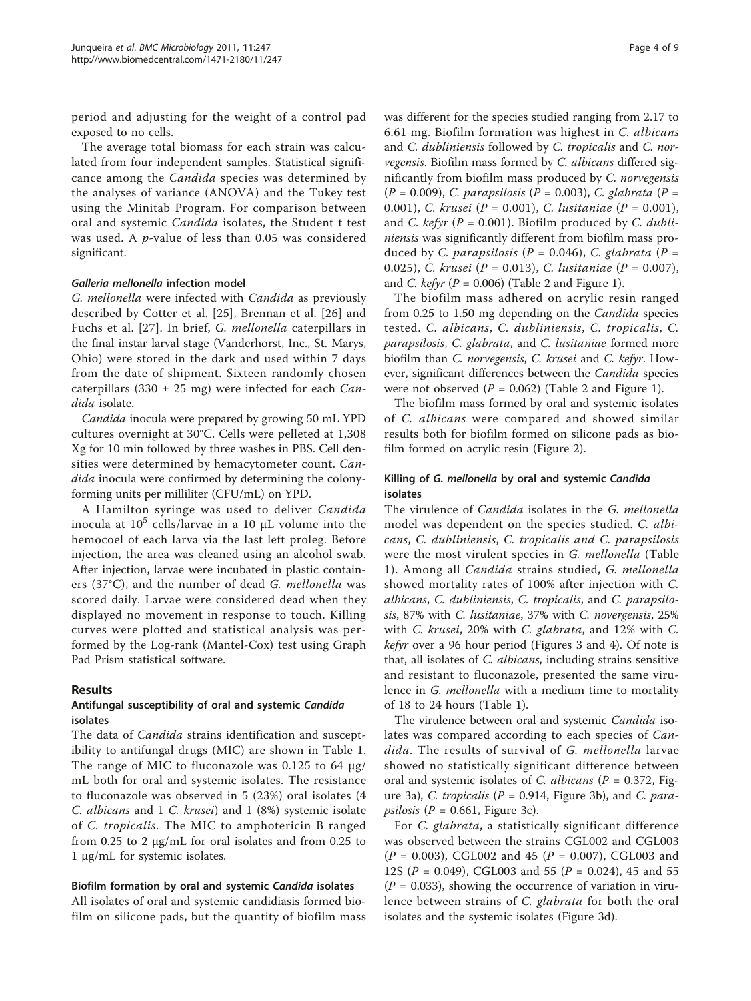period and adjusting for the weight of a control pad exposed to no cells.

The average total biomass for each strain was calculated from four independent samples. Statistical significance among the *Candida* species was determined by the analyses of variance (ANOVA) and the Tukey test using the Minitab Program. For comparison between oral and systemic Candida isolates, the Student t test was used. A p-value of less than 0.05 was considered significant.

#### Galleria mellonella infection model

G. mellonella were infected with Candida as previously described by Cotter et al. [[25](#page-8-0)], Brennan et al. [[26](#page-8-0)] and Fuchs et al. [[27](#page-8-0)]. In brief, G. mellonella caterpillars in the final instar larval stage (Vanderhorst, Inc., St. Marys, Ohio) were stored in the dark and used within 7 days from the date of shipment. Sixteen randomly chosen caterpillars (330  $\pm$  25 mg) were infected for each *Can*dida isolate.

Candida inocula were prepared by growing 50 mL YPD cultures overnight at 30°C. Cells were pelleted at 1,308 Xg for 10 min followed by three washes in PBS. Cell densities were determined by hemacytometer count. Candida inocula were confirmed by determining the colonyforming units per milliliter (CFU/mL) on YPD.

A Hamilton syringe was used to deliver Candida inocula at  $10^5$  cells/larvae in a 10  $\mu$ L volume into the hemocoel of each larva via the last left proleg. Before injection, the area was cleaned using an alcohol swab. After injection, larvae were incubated in plastic containers (37°C), and the number of dead G. mellonella was scored daily. Larvae were considered dead when they displayed no movement in response to touch. Killing curves were plotted and statistical analysis was performed by the Log-rank (Mantel-Cox) test using Graph Pad Prism statistical software.

### Results

### Antifungal susceptibility of oral and systemic Candida isolates

The data of *Candida* strains identification and susceptibility to antifungal drugs (MIC) are shown in Table [1](#page-2-0). The range of MIC to fluconazole was 0.125 to 64 μg/ mL both for oral and systemic isolates. The resistance to fluconazole was observed in 5 (23%) oral isolates (4 C. albicans and 1 C. krusei) and 1 (8%) systemic isolate of C. tropicalis. The MIC to amphotericin B ranged from 0.25 to 2 μg/mL for oral isolates and from 0.25 to 1 μg/mL for systemic isolates.

### Biofilm formation by oral and systemic Candida isolates

All isolates of oral and systemic candidiasis formed biofilm on silicone pads, but the quantity of biofilm mass was different for the species studied ranging from 2.17 to 6.61 mg. Biofilm formation was highest in C. albicans and C. dubliniensis followed by C. tropicalis and C. norvegensis. Biofilm mass formed by C. albicans differed significantly from biofilm mass produced by C. norvegensis  $(P = 0.009)$ , C. parapsilosis  $(P = 0.003)$ , C. glabrata  $(P = 0.009)$ 0.001), C. krusei (P = 0.001), C. lusitaniae (P = 0.001), and C. kefyr ( $P = 0.001$ ). Biofilm produced by C. *dubli*niensis was significantly different from biofilm mass produced by C. parapsilosis ( $P = 0.046$ ), C. glabrata ( $P =$ 0.025), C. krusei (P = 0.013), C. lusitaniae (P = 0.007), and *C. kefyr* ( $P = 0.006$ ) (Table [2](#page-4-0) and Figure [1](#page-4-0)).

The biofilm mass adhered on acrylic resin ranged from 0.25 to 1.50 mg depending on the Candida species tested. C. albicans, C. dubliniensis, C. tropicalis, C. parapsilosis, C. glabrata, and C. lusitaniae formed more biofilm than C. norvegensis, C. krusei and C. kefyr. However, significant differences between the Candida species were not observed  $(P = 0.062)$  (Table [2](#page-4-0) and Figure [1\)](#page-4-0).

The biofilm mass formed by oral and systemic isolates of C. albicans were compared and showed similar results both for biofilm formed on silicone pads as biofilm formed on acrylic resin (Figure [2\)](#page-5-0).

## Killing of G. mellonella by oral and systemic Candida isolates

The virulence of Candida isolates in the G. mellonella model was dependent on the species studied. C. albicans, C. dubliniensis, C. tropicalis and C. parapsilosis were the most virulent species in G. mellonella (Table [1\)](#page-2-0). Among all Candida strains studied, G. mellonella showed mortality rates of 100% after injection with C. albicans, C. dubliniensis, C. tropicalis, and C. parapsilosis, 87% with C. lusitaniae, 37% with C. novergensis, 25% with C. krusei, 20% with C. glabrata, and 12% with C. kefyr over a 96 hour period (Figures [3](#page-5-0) and [4](#page-6-0)). Of note is that, all isolates of C. albicans, including strains sensitive and resistant to fluconazole, presented the same virulence in G. mellonella with a medium time to mortality of 18 to 24 hours (Table [1\)](#page-2-0).

The virulence between oral and systemic Candida isolates was compared according to each species of Candida. The results of survival of G. mellonella larvae showed no statistically significant difference between oral and systemic isolates of C. albicans ( $P = 0.372$ , Fig-ure [3a](#page-5-0)), C. tropicalis ( $P = 0.914$ , Figure [3b\)](#page-5-0), and C. para*psilosis* ( $P = 0.661$ , Figure [3c](#page-5-0)).

For *C. glabrata*, a statistically significant difference was observed between the strains CGL002 and CGL003  $(P = 0.003)$ , CGL002 and 45  $(P = 0.007)$ , CGL003 and 12S ( $P = 0.049$ ), CGL003 and 55 ( $P = 0.024$ ), 45 and 55  $(P = 0.033)$ , showing the occurrence of variation in virulence between strains of C. glabrata for both the oral isolates and the systemic isolates (Figure [3d](#page-5-0)).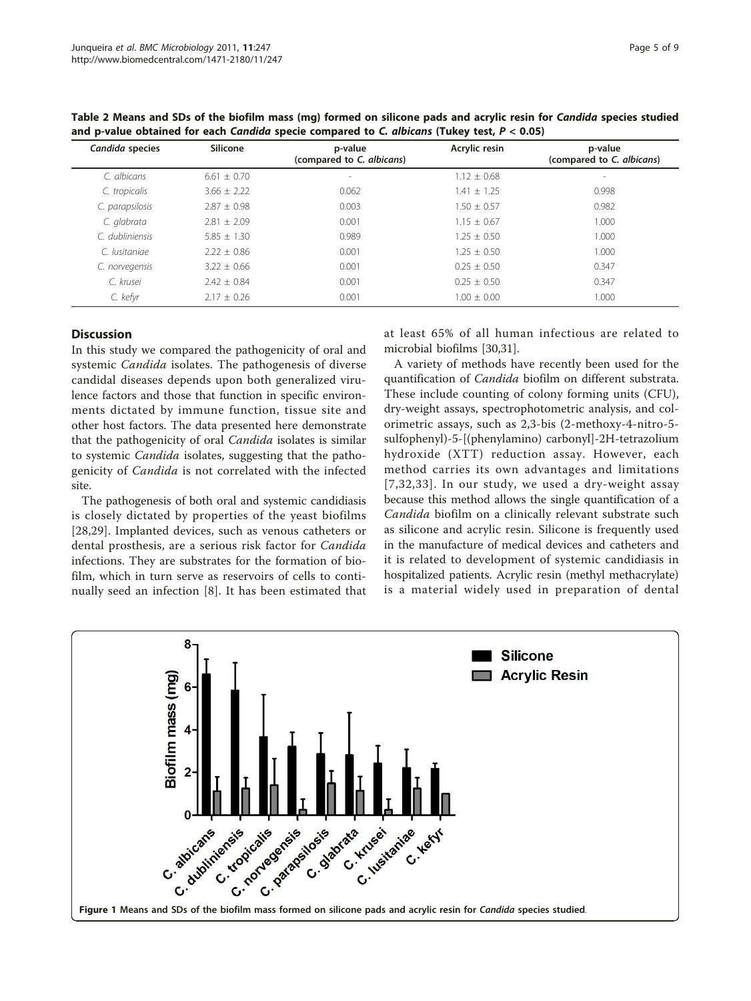| Candida species | Silicone        | p-value<br>(compared to C. albicans) | Acrylic resin   | p-value<br>(compared to C. albicans) |
|-----------------|-----------------|--------------------------------------|-----------------|--------------------------------------|
| C. albicans     | $6.61 + 0.70$   | $\overline{\phantom{a}}$             | $1.12 + 0.68$   | $\overline{\phantom{a}}$             |
| C. tropicalis   | $3.66 + 2.22$   | 0.062                                | $1.41 + 1.25$   | 0.998                                |
| C. parapsilosis | $2.87 \pm 0.98$ | 0.003                                | $1.50 \pm 0.57$ | 0.982                                |
| C. glabrata     | $2.81 + 2.09$   | 0.001                                | $1.15 \pm 0.67$ | 1.000                                |
| C. dubliniensis | $5.85 + 1.30$   | 0.989                                | $1.25 + 0.50$   | 1.000                                |
| C. Iusitaniae   | $2.22 + 0.86$   | 0.001                                | $1.25 + 0.50$   | 1.000                                |
| C. norvegensis  | $3.22 + 0.66$   | 0.001                                | $0.25 + 0.50$   | 0.347                                |
| C. krusei       | $7.47 + 0.84$   | 0.001                                | $0.25 + 0.50$   | 0.347                                |
| C. kefyr        | $2.17 + 0.26$   | 0.001                                | $1.00 \pm 0.00$ | 1.000                                |

<span id="page-4-0"></span>Table 2 Means and SDs of the biofilm mass (mg) formed on silicone pads and acrylic resin for Candida species studied and p-value obtained for each Candida specie compared to C. albicans (Tukey test,  $P < 0.05$ )

## Discussion

In this study we compared the pathogenicity of oral and systemic Candida isolates. The pathogenesis of diverse candidal diseases depends upon both generalized virulence factors and those that function in specific environments dictated by immune function, tissue site and other host factors. The data presented here demonstrate that the pathogenicity of oral Candida isolates is similar to systemic Candida isolates, suggesting that the pathogenicity of Candida is not correlated with the infected site.

The pathogenesis of both oral and systemic candidiasis is closely dictated by properties of the yeast biofilms [[28,29](#page-8-0)]. Implanted devices, such as venous catheters or dental prosthesis, are a serious risk factor for Candida infections. They are substrates for the formation of biofilm, which in turn serve as reservoirs of cells to continually seed an infection [[8](#page-7-0)]. It has been estimated that at least 65% of all human infectious are related to microbial biofilms [\[30,31\]](#page-8-0).

A variety of methods have recently been used for the quantification of Candida biofilm on different substrata. These include counting of colony forming units (CFU), dry-weight assays, spectrophotometric analysis, and colorimetric assays, such as 2,3-bis (2-methoxy-4-nitro-5 sulfophenyl)-5-[(phenylamino) carbonyl]-2H-tetrazolium hydroxide (XTT) reduction assay. However, each method carries its own advantages and limitations [[7,](#page-7-0)[32](#page-8-0),[33](#page-8-0)]. In our study, we used a dry-weight assay because this method allows the single quantification of a Candida biofilm on a clinically relevant substrate such as silicone and acrylic resin. Silicone is frequently used in the manufacture of medical devices and catheters and it is related to development of systemic candidiasis in hospitalized patients. Acrylic resin (methyl methacrylate) is a material widely used in preparation of dental

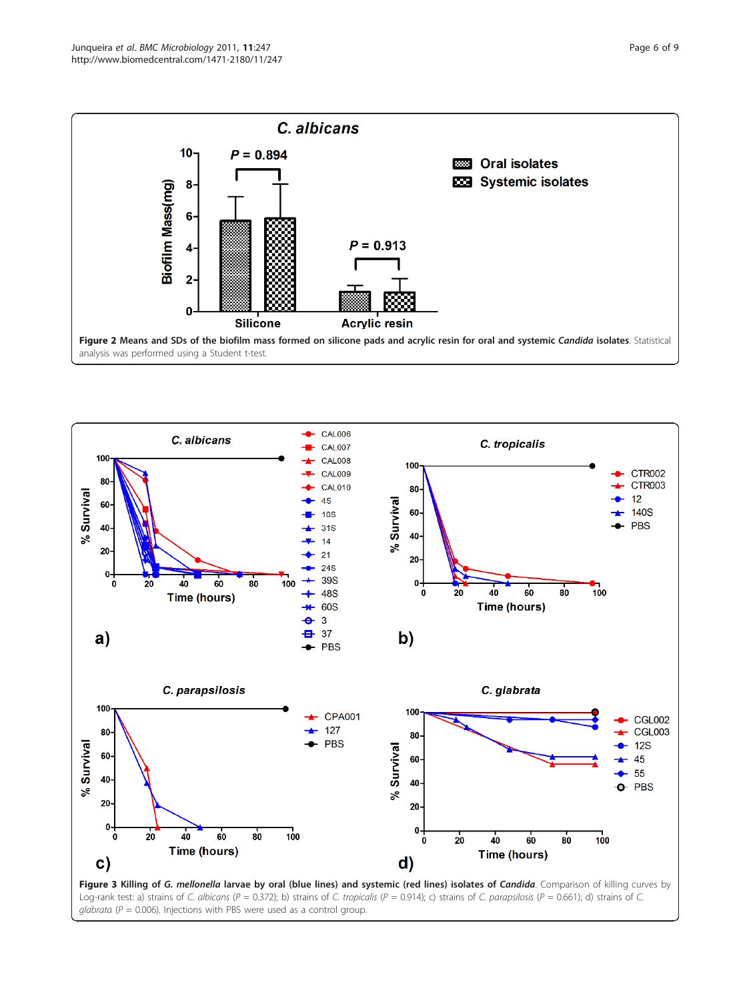<span id="page-5-0"></span>

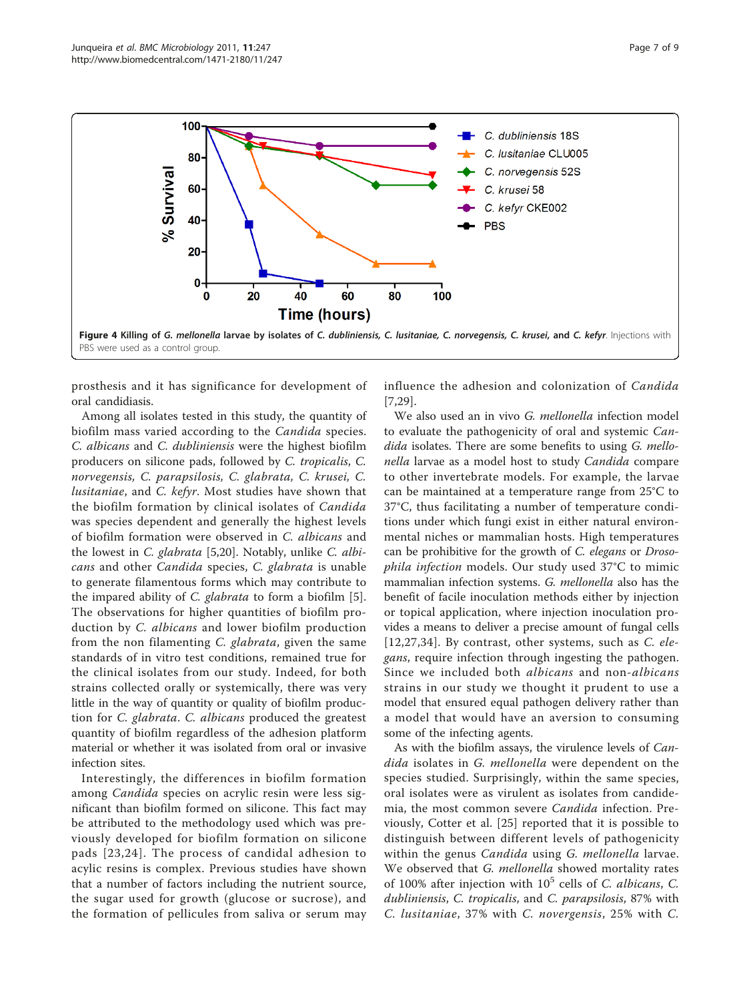<span id="page-6-0"></span>

prosthesis and it has significance for development of oral candidiasis.

Among all isolates tested in this study, the quantity of biofilm mass varied according to the Candida species. C. albicans and C. dubliniensis were the highest biofilm producers on silicone pads, followed by C. tropicalis, C. norvegensis, C. parapsilosis, C. glabrata, C. krusei, C. lusitaniae, and C. kefyr. Most studies have shown that the biofilm formation by clinical isolates of Candida was species dependent and generally the highest levels of biofilm formation were observed in C. albicans and the lowest in C. glabrata [[5,](#page-7-0)[20\]](#page-8-0). Notably, unlike C. albicans and other Candida species, C. glabrata is unable to generate filamentous forms which may contribute to the impared ability of C. glabrata to form a biofilm [\[5](#page-7-0)]. The observations for higher quantities of biofilm production by C. albicans and lower biofilm production from the non filamenting C. glabrata, given the same standards of in vitro test conditions, remained true for the clinical isolates from our study. Indeed, for both strains collected orally or systemically, there was very little in the way of quantity or quality of biofilm production for C. glabrata. C. albicans produced the greatest quantity of biofilm regardless of the adhesion platform material or whether it was isolated from oral or invasive infection sites.

Interestingly, the differences in biofilm formation among Candida species on acrylic resin were less significant than biofilm formed on silicone. This fact may be attributed to the methodology used which was previously developed for biofilm formation on silicone pads [[23](#page-8-0),[24\]](#page-8-0). The process of candidal adhesion to acylic resins is complex. Previous studies have shown that a number of factors including the nutrient source, the sugar used for growth (glucose or sucrose), and the formation of pellicules from saliva or serum may influence the adhesion and colonization of Candida [[7,](#page-7-0)[29](#page-8-0)].

We also used an in vivo G. mellonella infection model to evaluate the pathogenicity of oral and systemic Candida isolates. There are some benefits to using G. mellonella larvae as a model host to study Candida compare to other invertebrate models. For example, the larvae can be maintained at a temperature range from 25°C to 37°C, thus facilitating a number of temperature conditions under which fungi exist in either natural environmental niches or mammalian hosts. High temperatures can be prohibitive for the growth of C. elegans or Drosophila infection models. Our study used 37°C to mimic mammalian infection systems. G. mellonella also has the benefit of facile inoculation methods either by injection or topical application, where injection inoculation provides a means to deliver a precise amount of fungal cells [[12,](#page-7-0)[27](#page-8-0),[34\]](#page-8-0). By contrast, other systems, such as C. elegans, require infection through ingesting the pathogen. Since we included both albicans and non-albicans strains in our study we thought it prudent to use a model that ensured equal pathogen delivery rather than a model that would have an aversion to consuming some of the infecting agents.

As with the biofilm assays, the virulence levels of Candida isolates in G. mellonella were dependent on the species studied. Surprisingly, within the same species, oral isolates were as virulent as isolates from candidemia, the most common severe Candida infection. Previously, Cotter et al. [[25\]](#page-8-0) reported that it is possible to distinguish between different levels of pathogenicity within the genus *Candida* using *G. mellonella* larvae. We observed that G. mellonella showed mortality rates of 100% after injection with  $10^5$  cells of *C. albicans*, *C.* dubliniensis, C. tropicalis, and C. parapsilosis, 87% with C. lusitaniae, 37% with C. novergensis, 25% with C.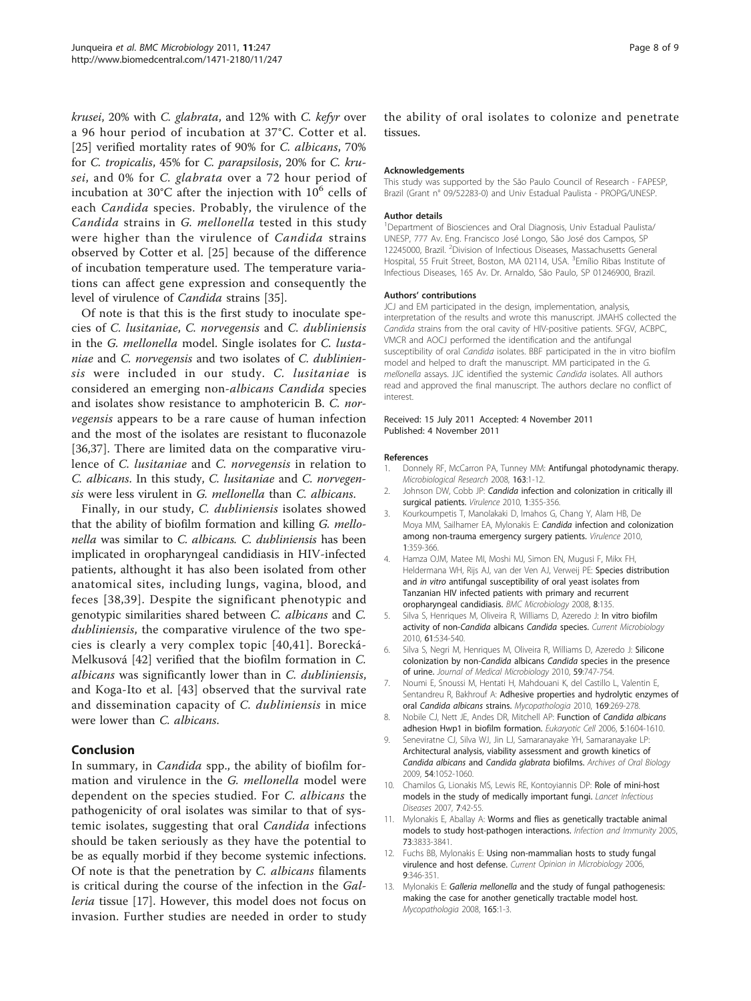<span id="page-7-0"></span>krusei, 20% with C. glabrata, and 12% with C. kefyr over a 96 hour period of incubation at 37°C. Cotter et al. [[25\]](#page-8-0) verified mortality rates of 90% for C. albicans, 70% for C. tropicalis, 45% for C. parapsilosis, 20% for C. krusei, and 0% for C. glabrata over a 72 hour period of incubation at 30 $\degree$ C after the injection with 10 $\degree$  cells of each Candida species. Probably, the virulence of the Candida strains in G. mellonella tested in this study were higher than the virulence of Candida strains observed by Cotter et al. [\[25](#page-8-0)] because of the difference of incubation temperature used. The temperature variations can affect gene expression and consequently the level of virulence of Candida strains [[35](#page-8-0)].

Of note is that this is the first study to inoculate species of C. lusitaniae, C. norvegensis and C. dubliniensis in the G. mellonella model. Single isolates for C. lustaniae and C. norvegensis and two isolates of C. dubliniensis were included in our study. C. lusitaniae is considered an emerging non-albicans Candida species and isolates show resistance to amphotericin B. C. norvegensis appears to be a rare cause of human infection and the most of the isolates are resistant to fluconazole [[36,37\]](#page-8-0). There are limited data on the comparative virulence of C. lusitaniae and C. norvegensis in relation to C. albicans. In this study, C. lusitaniae and C. norvegensis were less virulent in G. mellonella than C. albicans.

Finally, in our study, C. dubliniensis isolates showed that the ability of biofilm formation and killing G. mellonella was similar to C. albicans. C. dubliniensis has been implicated in oropharyngeal candidiasis in HIV-infected patients, althought it has also been isolated from other anatomical sites, including lungs, vagina, blood, and feces [\[38](#page-8-0),[39](#page-8-0)]. Despite the significant phenotypic and genotypic similarities shared between C. albicans and C. dubliniensis, the comparative virulence of the two species is clearly a very complex topic [[40,41\]](#page-8-0). Borecká-Melkusová [[42\]](#page-8-0) verified that the biofilm formation in C. albicans was significantly lower than in C. dubliniensis, and Koga-Ito et al. [[43\]](#page-8-0) observed that the survival rate and dissemination capacity of C. dubliniensis in mice were lower than C. albicans.

### Conclusion

In summary, in Candida spp., the ability of biofilm formation and virulence in the G. mellonella model were dependent on the species studied. For C. albicans the pathogenicity of oral isolates was similar to that of systemic isolates, suggesting that oral Candida infections should be taken seriously as they have the potential to be as equally morbid if they become systemic infections. Of note is that the penetration by C. albicans filaments is critical during the course of the infection in the Galleria tissue [\[17](#page-8-0)]. However, this model does not focus on invasion. Further studies are needed in order to study Page 8 of 9

the ability of oral isolates to colonize and penetrate tissues.

#### Acknowledgements

This study was supported by the São Paulo Council of Research - FAPESP, Brazil (Grant n° 09/52283-0) and Univ Estadual Paulista - PROPG/UNESP.

#### Author details

<sup>1</sup>Department of Biosciences and Oral Diagnosis, Univ Estadual Paulista/ UNESP, 777 Av. Eng. Francisco José Longo, São José dos Campos, SP 12245000, Brazil. <sup>2</sup>Division of Infectious Diseases, Massachusetts General Hospital, 55 Fruit Street, Boston, MA 02114, USA. <sup>3</sup>Emílio Ribas Institute of Infectious Diseases, 165 Av. Dr. Arnaldo, São Paulo, SP 01246900, Brazil.

#### Authors' contributions

JCJ and EM participated in the design, implementation, analysis, interpretation of the results and wrote this manuscript. JMAHS collected the Candida strains from the oral cavity of HIV-positive patients. SFGV, ACBPC, VMCR and AOCJ performed the identification and the antifungal susceptibility of oral Candida isolates. BBF participated in the in vitro biofilm model and helped to draft the manuscript. MM participated in the G. mellonella assays. JJC identified the systemic Candida isolates. All authors read and approved the final manuscript. The authors declare no conflict of interest.

#### Received: 15 July 2011 Accepted: 4 November 2011 Published: 4 November 2011

#### References

- 1. Donnely RF, McCarron PA, Tunney MM: [Antifungal photodynamic therapy.](http://www.ncbi.nlm.nih.gov/pubmed/18037279?dopt=Abstract) Microbiological Research 2008, 163:1-12. 2. Johnson DW, Cobb JP: Candida [infection and colonization in critically ill](http://www.ncbi.nlm.nih.gov/pubmed/21178469?dopt=Abstract)
- [surgical patients.](http://www.ncbi.nlm.nih.gov/pubmed/21178469?dopt=Abstract) Virulence 2010, 1:355-356. 3. Kourkoumpetis T, Manolakaki D, lmahos G, Chang Y, Alam HB, De
- Moya MM, Sailhamer EA, Mylonakis E: Candida [infection and colonization](http://www.ncbi.nlm.nih.gov/pubmed/21178471?dopt=Abstract) [among non-trauma emergency surgery patients.](http://www.ncbi.nlm.nih.gov/pubmed/21178471?dopt=Abstract) Virulence 2010, 1:359-366.
- 4. Hamza OJM, Matee MI, Moshi MJ, Simon EN, Mugusi F, Mikx FH, Heldermana WH, Rijs AJ, van der Ven AJ, Verweij PE: [Species distribution](http://www.ncbi.nlm.nih.gov/pubmed/18694525?dopt=Abstract) and in vitro [antifungal susceptibility of oral yeast isolates from](http://www.ncbi.nlm.nih.gov/pubmed/18694525?dopt=Abstract) [Tanzanian HIV infected patients with primary and recurrent](http://www.ncbi.nlm.nih.gov/pubmed/18694525?dopt=Abstract) [oropharyngeal candidiasis.](http://www.ncbi.nlm.nih.gov/pubmed/18694525?dopt=Abstract) BMC Microbiology 2008, 8:135.
- 5. Silva S, Henriques M, Oliveira R, Williams D, Azeredo J: [In vitro biofilm](http://www.ncbi.nlm.nih.gov/pubmed/20401483?dopt=Abstract) [activity of non-](http://www.ncbi.nlm.nih.gov/pubmed/20401483?dopt=Abstract)Candida albicans Candida species. Current Microbiology 2010, 61:534-540.
- 6. Silva S, Negri M, Henriques M, Oliveira R, Williams D, Azeredo J: [Silicone](http://www.ncbi.nlm.nih.gov/pubmed/20299506?dopt=Abstract) colonization by non-Candida albicans Candida [species in the presence](http://www.ncbi.nlm.nih.gov/pubmed/20299506?dopt=Abstract) [of urine.](http://www.ncbi.nlm.nih.gov/pubmed/20299506?dopt=Abstract) Journal of Medical Microbiology 2010, 59:747-754.
- 7. Noumi E, Snoussi M, Hentati H, Mahdouani K, del Castillo L, Valentin E, Sentandreu R, Bakhrouf A: [Adhesive properties and hydrolytic enzymes of](http://www.ncbi.nlm.nih.gov/pubmed/19946798?dopt=Abstract) oral [Candida albicans](http://www.ncbi.nlm.nih.gov/pubmed/19946798?dopt=Abstract) strains. Mycopathologia 2010, 169:269-278.
- 8. Nobile CJ, Nett JE, Andes DR, Mitchell AP: Function of [Candida albicans](http://www.ncbi.nlm.nih.gov/pubmed/17030992?dopt=Abstract) [adhesion Hwp1 in biofilm formation.](http://www.ncbi.nlm.nih.gov/pubmed/17030992?dopt=Abstract) Fukaryotic Cell 2006, 5:1604-1610.
- 9. Seneviratne CJ, Silva WJ, Jin LJ, Samaranayake YH, Samaranayake LP: [Architectural analysis, viability assessment and growth kinetics of](http://www.ncbi.nlm.nih.gov/pubmed/19712926?dopt=Abstract) Candida albicans and [Candida glabrata](http://www.ncbi.nlm.nih.gov/pubmed/19712926?dopt=Abstract) biofilms. Archives of Oral Biology 2009, 54:1052-1060.
- 10. Chamilos G, Lionakis MS, Lewis RE, Kontoyiannis DP: [Role of mini-host](http://www.ncbi.nlm.nih.gov/pubmed/17182343?dopt=Abstract) [models in the study of medically important fungi.](http://www.ncbi.nlm.nih.gov/pubmed/17182343?dopt=Abstract) Lancet Infectious Diseases 2007, 7:42-55.
- 11. Mylonakis E, Aballay A: [Worms and flies as genetically tractable animal](http://www.ncbi.nlm.nih.gov/pubmed/15972468?dopt=Abstract) [models to study host-pathogen interactions.](http://www.ncbi.nlm.nih.gov/pubmed/15972468?dopt=Abstract) Infection and Immunity 2005, 73:3833-3841.
- 12. Fuchs BB, Mylonakis E: [Using non-mammalian hosts to study fungal](http://www.ncbi.nlm.nih.gov/pubmed/16814595?dopt=Abstract) [virulence and host defense.](http://www.ncbi.nlm.nih.gov/pubmed/16814595?dopt=Abstract) Current Opinion in Microbiology 2006, 9:346-351.
- 13. Mylonakis E: Galleria mellonella [and the study of fungal pathogenesis:](http://www.ncbi.nlm.nih.gov/pubmed/18060516?dopt=Abstract) [making the case for another genetically tractable model host.](http://www.ncbi.nlm.nih.gov/pubmed/18060516?dopt=Abstract) Mycopathologia 2008, 165:1-3.